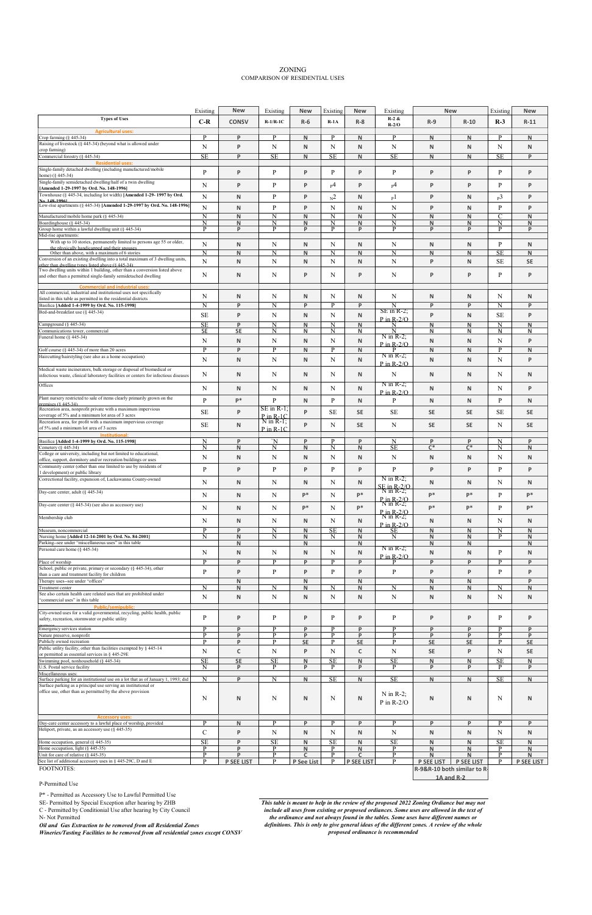|                                                                                                                                 | Existing     | <b>New</b>        | Existing          | <b>New</b>        | Existing       | <b>New</b>        | Existing                               |                        | <b>New</b>                  | Existing       | <b>New</b>        |
|---------------------------------------------------------------------------------------------------------------------------------|--------------|-------------------|-------------------|-------------------|----------------|-------------------|----------------------------------------|------------------------|-----------------------------|----------------|-------------------|
| <b>Types of Uses</b>                                                                                                            | $C-R$        | <b>CONSV</b>      | $R-1/R-1C$        | $R-6$             | $R-1A$         | $R-8$             | $R-2 &$<br>$R-2/O$                     | $R-9$                  | $R-10$                      | $R-3$          | $R-11$            |
| <b>Agricultural uses:</b>                                                                                                       |              |                   |                   |                   |                |                   |                                        |                        |                             |                |                   |
| Crop farming (§ 445-34)                                                                                                         | P            | P                 | P                 | N.                | P              | N                 | P                                      | $\mathsf{N}$           | N                           | P              | N                 |
| Raising of livestock (§ 445-34) (beyond what is allowed under<br>crop farming)                                                  | N            | P                 | N                 | N                 | N              | N                 | N                                      | $\mathsf{N}$           | $\mathsf{N}$                | N              | N                 |
| Commercial forestry (§ 445-34)                                                                                                  | <b>SE</b>    | P                 | SE                | N                 | <b>SE</b>      | N                 | <b>SE</b>                              | $\mathsf{N}$           | N                           | <b>SE</b>      | P                 |
| <b>Residential uses</b><br>Single-family detached dwelling (including manufactured/mobile                                       |              |                   |                   |                   |                |                   |                                        |                        |                             |                |                   |
| home) (§ 445-34)                                                                                                                | P            | P                 | P                 | P                 | P              | P                 | P                                      | P                      | P                           | P              | P                 |
| Single-family semidetached dwelling/half of a twin dwelling<br>Amended 1-29-1997 by Ord. No. 148-1996]                          | N            | P                 | P                 | P                 | p4             | P                 | р4                                     | P                      | P                           | P              | P                 |
| Townhouse (§ 445-34, including lot width) [Amended 1-29-1997 by Ord.                                                            | N            | N                 | P                 | P                 | v <sub>N</sub> | ${\sf N}$         | $_{\rm P}1$                            | P                      | N                           | p <sub>3</sub> | P                 |
| No. 148-19961<br>Low-rise apartments (§ 445-34) [Amended 1-29-1997 by Ord. No. 148-1996]                                        | $\mathbf N$  | $\mathsf{N}$      | P                 | P                 | N              | $\mathsf{N}$      | N                                      | P                      | $\mathsf{N}$                | P              | P                 |
| Manufactured/mobile home park (§ 445-34)                                                                                        | N            | $\mathsf{N}$      | N                 | $\mathsf{N}$      | N              | $\mathsf{N}$      | N                                      | $\mathsf{N}$           | $\mathsf{N}$                | C              | N                 |
| Boardinghouse (§ 445-34)                                                                                                        | N            | N                 | N                 | N                 | N              | ${\sf N}$         | N                                      | $\mathsf{N}$           | $\mathsf{N}$                | N              | N                 |
| Group home within a lawful dwelling unit $(\S$ 445-34)<br>Mid-rise apartments:                                                  | P            | P                 | P                 | P                 | P              | P                 | P                                      | P                      | P                           | P              | P                 |
| With up to 10 stories, permanently limited to persons age 55 or older,                                                          | N            | $\mathsf{N}$      | N                 | N                 | N              | N                 | N                                      | $\mathsf{N}$           | N                           | P              | N                 |
| the physically handicapped and their spouses<br>Other than above, with a maximum of 6 stories                                   | N            | $\mathsf{N}$      | N                 | N                 | N              | $\mathsf{N}$      | N                                      | $\mathsf{N}$           | $\mathsf{N}$                | SE             | N                 |
| Conversion of an existing dwelling into a total maximum of 3 dwelling units,                                                    | N            | $\mathsf{N}$      | N                 | N                 | N              | N                 | N                                      | P                      | N                           | <b>SE</b>      | <b>SE</b>         |
| other than dwelling types listed above (8 445-34)<br>Two dwelling units within 1 building, other than a conversion listed above |              |                   |                   |                   |                |                   |                                        |                        |                             |                |                   |
| and other than a permitted single-family semidetached dwelling                                                                  | N            | N                 | N                 | P                 | N              | P                 | N                                      | P                      | P                           | P              | P                 |
| <b>Commercial and industrial uses</b>                                                                                           |              |                   |                   |                   |                |                   |                                        |                        |                             |                |                   |
| All commercial, industrial and institutional uses not specifically                                                              | N            | N                 | N                 | N                 | $\mathbf N$    | ${\sf N}$         | N                                      | N                      | N                           | N              | N                 |
| listed in this table as permitted in the residential districts<br>Basilica [Added 1-4-1999 by Ord. No. 115-1998]                | N            | P                 | N                 | P                 | P              | P                 | N                                      | P                      | P                           | N              | P                 |
| Bed-and-breakfast use (§ 445-34)                                                                                                | <b>SE</b>    | P                 | N                 | N                 | N              | ${\sf N}$         | $SE$ in R-2;                           | P                      | N                           | <b>SE</b>      | P                 |
| Campground $(\S$ 445-34)                                                                                                        | <b>SE</b>    | P                 | N                 | $\mathsf{N}$      | N              | $\mathsf{N}$      | P in $R-2/O$<br>N                      | $\mathsf{N}$           | $\mathsf{N}$                | N              | N                 |
| Communications tower, commercial                                                                                                | SE           | <b>SE</b>         | N                 | N                 | N              | N                 | N                                      | N                      | N                           | N              | N                 |
| Funeral home (§ 445-34)                                                                                                         | N            | $\mathsf{N}$      | N                 | N                 | N              | ${\sf N}$         | $N \overline{m} R-2$ ;<br>P in $R-2/Q$ | $\mathsf{N}$           | N                           | N              | P                 |
| Golf course $(\S$ 445-34) of more than 20 acres                                                                                 | P            | P                 | Þ                 | N                 | P              | N                 | P                                      | $\mathsf{N}$           | $\mathsf{N}$                | P              | N                 |
| Haircutting/hairstyling (see also as a home occupation)                                                                         | N            | $\mathsf{N}$      | N                 | N                 | N              | N                 | N in R-2;                              | $\mathsf{N}$           | N                           | N              | P                 |
| Medical waste incinerators, bulk storage or disposal of biomedical or                                                           |              |                   |                   |                   |                |                   | P in $R-2/O$                           |                        |                             |                |                   |
| infectious waste, clinical laboratory facilities or centers for infectious diseases                                             | N            | $\mathsf{N}$      | N                 | N                 | N              | N                 | N                                      | $\mathsf{N}$           | N                           | N              | N                 |
| Offices                                                                                                                         | N            | $\mathsf{N}$      | N                 | N                 | N              | N                 | $N$ in R-2;                            | $\mathsf{N}$           | N                           | N              | P                 |
| Plant nursery restricted to sale of items clearly primarily grown on the                                                        |              | $P*$              |                   |                   |                |                   | P in $R-2/Q$                           |                        |                             |                |                   |
| premises (8 445-34)                                                                                                             | P            |                   | P<br>$SE$ in R-1; | $\mathsf{N}$      | P              | $\mathsf{N}$      | $\mathbf{P}$                           | $\mathsf{N}$           | $\mathsf{N}$                | P              | N                 |
| Recreation area, nonprofit private with a maximum impervious<br>coverage of 5% and a minimum lot area of 3 acres                | <b>SE</b>    | P                 | $P$ in R-1C       | P                 | <b>SE</b>      | <b>SE</b>         | <b>SE</b>                              | SE                     | <b>SE</b>                   | <b>SE</b>      | <b>SE</b>         |
| Recreation area, for profit with a maximum impervious coverage                                                                  | <b>SE</b>    | $\mathsf{N}$      | $N$ in R-1;       | P                 | N              | <b>SE</b>         | N                                      | <b>SE</b>              | <b>SE</b>                   | N              | <b>SE</b>         |
| of 5% and a minimum lot area of 3 acres<br>Institutional:                                                                       |              |                   | $P$ in R-1 $C$    |                   |                |                   |                                        |                        |                             |                |                   |
| Basilica [Added 1-4-1999 by Ord. No. 115-1998]                                                                                  | N            | P                 | 'N                | P                 | Þ              | P                 | N                                      | D                      | P                           | N              | D                 |
| Cemetery (§ 445-34)<br>College or university, including but not limited to educational,                                         | N            | N                 | N                 | N                 | N              | $\mathsf{N}$      | SE                                     | $C^*$                  | $C^*$                       | N              | N                 |
| office, support, dormitory and/or recreation buildings or uses                                                                  | N            | N                 | N                 | N                 | $\mathbf N$    | N                 | N                                      | $\mathsf{N}$           | N                           | N              | N                 |
| Community center (other than one limited to use by residents of<br>1 development) or public library                             | $\mathbf{P}$ | P                 | P                 | P                 | P              | P                 | P                                      | P                      | P                           | P              | P                 |
| Correctional facility, expansion of, Lackawanna County-owned                                                                    | N            |                   | N                 | N                 | N              |                   | N in R-2;                              | $\mathsf{N}$           |                             | N              |                   |
|                                                                                                                                 |              | $\mathsf{N}$      |                   |                   |                | $\mathsf{N}$      | $SE$ in $R-2/O$<br>N in R-2;           |                        | N                           |                | N                 |
| Day-care center, adult $(\S$ 445-34)                                                                                            | N            | $\mathsf{N}$      | N                 | $P*$              | N              | $P*$              | P in $R-2/O$                           | p*                     | $P*$                        | P              | $P*$              |
| Day-care center (§ 445-34) (see also as accessory use)                                                                          | N            | $\mathsf{N}$      | N                 | $P*$              | N              | $P*$              | $N$ in R-2;                            | $P*$                   | $P*$                        | P              | $P*$              |
| Membership club                                                                                                                 |              |                   |                   |                   |                |                   | P in $R-2/O$<br>N in R-2;              |                        |                             |                |                   |
|                                                                                                                                 | N            | $\mathsf{N}$      | N                 | N                 | N              | N                 | P in $R-2/Q$                           | ${\sf N}$              | N                           | N              | N                 |
| Museum, noncommercial<br>Nursing home [Added 12-14-2001 by Ord. No. 84-2001]                                                    | P<br>N       | P<br>N            | N<br>N            | N<br>N            | <b>SE</b><br>N | N<br>$\mathsf{N}$ | SЕ<br>N                                | ${\sf N}$<br>${\sf N}$ | N<br>${\sf N}$              | N<br>P         | N<br>N            |
| Parking--see under "miscellaneous uses" in this table                                                                           |              | $\mathsf{N}$      |                   | N                 |                | N                 |                                        | $\mathsf{N}$           | N                           |                | N                 |
| Personal care home (§ 445-34)                                                                                                   | N            | $\mathsf{N}$      | N                 | N                 | N              | N                 | $N$ in R-2;                            | ${\sf N}$              | N                           | P              | N                 |
| Place of worship                                                                                                                | P            | P                 | P                 | P                 | P              | P                 | P in $R-2/Q$<br>P                      | P                      | P                           | P              | P                 |
| School, public or private, primary or secondary (§ 445-34), other                                                               | P            | P                 | P                 | P                 | P              | P                 | P                                      | P                      | P                           | P              | P                 |
| than a care and treatment facility for children<br>Therapy uses--see under "offices"                                            |              | $\mathsf{N}$      |                   | $\mathsf{N}$      |                | $\mathsf{N}$      |                                        | $\mathsf{N}$           | ${\sf N}$                   |                | P                 |
| Treatment center                                                                                                                | N            | N                 | N                 | N                 | N              | $\mathsf{N}$      | N                                      | $\mathsf{N}$           | $\mathsf{N}$                | N              | N                 |
| See also certain health care related uses that are prohibited under<br>"commercial uses" in this table                          | N            | $\mathsf{N}$      | N                 | N                 | $\mathbf N$    | N                 | N                                      | ${\sf N}$              | ${\sf N}$                   | N              | N                 |
| <b>Public/semipublic:</b>                                                                                                       |              |                   |                   |                   |                |                   |                                        |                        |                             |                |                   |
| City-owned uses for a valid governmental, recycling, public health, public<br>safety, recreation, stormwater or public utility  | P            | P                 | P                 | P                 | P              | P                 | P                                      | P                      | P                           | P              | P                 |
|                                                                                                                                 |              |                   | P                 |                   | P              | P                 |                                        |                        |                             | P              |                   |
| Emergency services station<br>Nature preserve, nonprofit                                                                        | P<br>P       | P<br>P            | P                 | P<br>P            | P              | P                 | P<br>P                                 | P<br>P                 | P<br>P                      | P              | P<br>P            |
| Publicly owned recreation                                                                                                       | P            | P                 | P                 | <b>SE</b>         | P              | <b>SE</b>         | P                                      | <b>SE</b>              | <b>SE</b>                   | P              | <b>SE</b>         |
| Public utility facility, other than facilities exempted by § 445-14<br>or permitted as essential services in § 445-29E          | N            | $\mathsf{C}$      | N                 | P                 | N              | $\mathsf{C}$      | N                                      | <b>SE</b>              | P                           | N              | <b>SE</b>         |
| Swimming pool, nonhousehold (§ 445-34)                                                                                          | <b>SE</b>    | <b>SE</b>         | <b>SE</b>         | $\mathsf{N}$      | SE             | $\mathsf{N}$      | SE                                     | ${\sf N}$              | $\mathsf{N}$                | SE             | N                 |
| U.S. Postal service facility                                                                                                    | N            | P                 | P                 | P                 | P              | P                 | P                                      | P                      | P                           | P              | P                 |
| Miscellaneous uses:<br>Surface parking for an institutional use on a lot that as of January 1, 1993; did                        | N            | P                 | N                 | N                 | <b>SE</b>      | $\mathsf{N}$      | SE                                     | $\mathsf{N}$           | $\mathsf{N}$                | SE             | N                 |
| Surface parking as a principal use serving an institutional or<br>office use, other than as permitted by the above provision    |              |                   |                   |                   |                |                   |                                        |                        |                             |                |                   |
|                                                                                                                                 | N            | $\mathsf{N}$      | N                 | N                 | N              | ${\sf N}$         | $N$ in R-2;                            | $\mathsf{N}$           | $\mathsf{N}$                | N              | N                 |
|                                                                                                                                 |              |                   |                   |                   |                |                   | P in $R-2/O$                           |                        |                             |                |                   |
| <b>Accessory uses</b>                                                                                                           |              |                   |                   |                   |                |                   |                                        |                        |                             |                |                   |
| Day-care center accessory to a lawful place of worship, provided                                                                | P            | N                 | P                 | P                 | P              | P                 | P                                      | P                      | P                           | P              | P                 |
| Heliport, private, as an accessory use (§ 445-35)                                                                               | $\mathbf C$  | P                 | N                 | N                 | N              | N                 | N                                      | $\mathsf{N}$           | N                           | N              | N                 |
| Home occupation, general (§ 445-35)                                                                                             | <b>SE</b>    | P                 | SE                | $\mathsf{N}$      | <b>SE</b>      | N                 | <b>SE</b>                              | $\mathsf{N}$           | $\mathsf{N}$                | SE             | N                 |
| Home occupation, light (§ 445-35)<br>Unit for care of relative $(§ 445-35)$                                                     | P<br>P       | P<br>Þ            | P<br>P            | N<br>$\mathsf{C}$ | P<br>P         | N<br>$\mathsf{C}$ | P<br>P                                 | $\mathsf{N}$<br>N      | $\mathsf{N}$<br>N           | P<br>P         | N<br>N            |
| See list of additional accessory uses in § 445-29C, D and E                                                                     | P            | <b>P SEE LIST</b> | P                 | P See List        | P              | <b>P SEE LIST</b> | P                                      | P SEE LIST             | P SEE LIST                  | P              | <b>P SEE LIST</b> |
| FOOTNOTES:                                                                                                                      |              |                   |                   |                   |                |                   |                                        |                        | R-9&R-10 both similar to R- |                |                   |

P-Permitted Use

P\* - Permitted as Accessory Use to Lawful Permitted Use

SE- Permitted by Special Exception after hearing by ZHB

C - Permitted by Conditionial Use after hearing by City Council N- Not Permitted

*Oil and Gas Extraction to be removed from all Residential Zones Wineries/Tasting Facilities to be removed from all residential zones except CONSV*

## ZONING COMPARISON OF RESIDENTIAL USES

**1A and R-2**

*This table is meant to help in the review of the proposed 2022 Zoning Ordiance but may not include all uses from existing or proposed ordiances. Some uses are allowed in the text of the ordinance and not always found in the tables. Some uses have different names or definitions. This is only to give general ideas of the different zones. A review of the whole proposed ordinance is recommended*